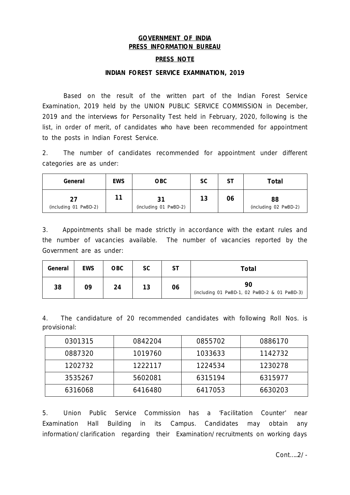# **GOVERNMENT OF INDIA PRESS INFORMATION BUREAU**

### **PRESS NOTE**

#### **INDIAN FOREST SERVICE EXAMINATION, 2019**

Based on the result of the written part of the Indian Forest Service Examination, 2019 held by the UNION PUBLIC SERVICE COMMISSION in December, 2019 and the interviews for Personality Test held in February, 2020, following is the list, in order of merit, of candidates who have been recommended for appointment to the posts in Indian Forest Service.

2. The number of candidates recommended for appointment under different categories are as under:

| General                     | <b>EWS</b> | <b>OBC</b>            | SC | SΤ | <b>Total</b>                |
|-----------------------------|------------|-----------------------|----|----|-----------------------------|
| 27<br>(including 01 PwBD-2) | 11         | (including 01 PwBD-2) | 13 | 06 | 88<br>(including 02 PwBD-2) |

3. Appointments shall be made strictly in accordance with the extant rules and the number of vacancies available. The number of vacancies reported by the Government are as under:

| General | <b>EWS</b> | OBC | SC | <b>ST</b> | Total                                              |
|---------|------------|-----|----|-----------|----------------------------------------------------|
| 38      | 09         | 24  | 13 | 06        | 90<br>(including 01 PwBD-1, 02 PwBD-2 & 01 PwBD-3) |

4. The candidature of 20 recommended candidates with following Roll Nos. is provisional:

| 0301315 | 0842204 | 0855702 | 0886170 |
|---------|---------|---------|---------|
| 0887320 | 1019760 | 1033633 | 1142732 |
| 1202732 | 1222117 | 1224534 | 1230278 |
| 3535267 | 5602081 | 6315194 | 6315977 |
| 6316068 | 6416480 | 6417053 | 6630203 |

5. Union Public Service Commission has a 'Facilitation Counter' near Examination Hall Building in its Campus. Candidates may obtain any information/clarification regarding their Examination/recruitments on working days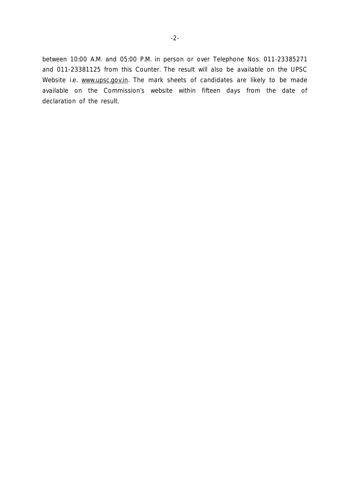between 10:00 A.M. and 05:00 P.M. in person or over Telephone Nos. 011-23385271 and 011-23381125 from this Counter. The result will also be available on the UPSC Website i.e. www.upsc.gov.in. The mark sheets of candidates are likely to be made available on the Commission's website within fifteen days from the date of declaration of the result.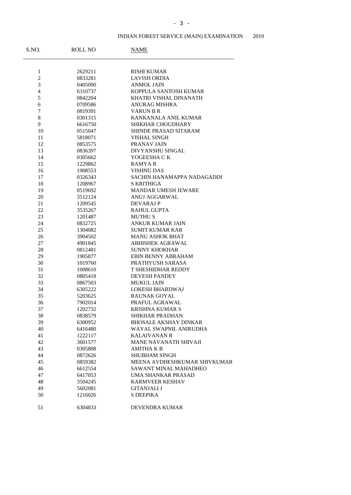# INDIAN FOREST SERVICE (MAIN) EXAMINATION 2019

| S.NO.          | <b>ROLL NO</b> | <b>NAME</b>                  |
|----------------|----------------|------------------------------|
|                |                |                              |
| $\mathbf{1}$   | 2629211        | <b>RISHI KUMAR</b>           |
| $\overline{c}$ | 0833281        | <b>LAVISH ORDIA</b>          |
| 3              | 0405090        | <b>ANMOL JAIN</b>            |
| 4              | 6310737        | KOPPULA SANTOSH KUMAR        |
| 5              | 0842204        | KHATRI VISHAL DINANATH       |
| 6              | 0709586        | <b>ANURAG MISHRA</b>         |
| 7              | 0819391        | <b>VARUN B R</b>             |
| 8              | 0301315        | KANKANALA ANIL KUMAR         |
| 9              | 6616750        | SHIKHAR CHOUDHARY            |
| 10             | 0515047        | <b>SHINDE PRASAD SITARAM</b> |
| 11             | 5818071        | <b>VISHAL SINGH</b>          |
| 12             | 0853575        | PRANAV JAIN                  |
| 13             | 0836397        | DIVYANSHU SINGAL             |
| 14             | 0305662        | YOGEESHA CK                  |
| 15             | 1229862        | <b>RAMYAR</b>                |
| 16             | 1908553        | <b>VISHNU DAS</b>            |
| 17             | 0326343        | SACHIN HANAMAPPA NADAGADDI   |
| 18             | 1208967        | <b>S KRITHIGA</b>            |
| 19             | 0519692        | MANDAR UMESH JEWARE          |
| 20             | 3512124        | <b>ANUJ AGGARWAL</b>         |
| 21             | 1209545        | <b>DEVARAJ P</b>             |
| 22             | 3535267        | <b>RAHUL GUPTA</b>           |
| 23             | 1201487        | <b>MUTHUS</b>                |
| 24             | 0832725        | ANKUR KUMAR JAIN             |
| 25             | 1304082        | <b>SUMIT KUMAR KAR</b>       |
| 26             | 3904502        | <b>MANU ASHOK BHAT</b>       |
| 27             | 4901845        | <b>ABHISHEK AGRAWAL</b>      |
| 28             | 0812481        | <b>SUNNY KHOKHAR</b>         |
| 29             | 1905877        | EBIN BENNY ABRAHAM           |
| 30             | 1019760        | PRATHYUSH SARASA             |
| 31             | 1008610        | T SHESHIDHAR REDDY           |
| 32             | 0805418        | <b>DEVESH PANDEY</b>         |
| 33             | 0867503        | <b>MUKUL JAIN</b>            |
| 34             | 6305222        | LOKESH BHARDWAJ              |
| 35             | 5203625        | <b>RAUNAK GOYAL</b>          |
| 36             | 7902014        | PRAFUL AGRAWAL               |
| 37             | 1202732        | <b>KRISHNA KUMAR S</b>       |
| 38             | 0838579        | <b>SHIKHAR PRADHAN</b>       |
| 39             | 6300952        | <b>BHOSALE AKSHAY DINKAR</b> |
| 40             | 6416480        | WAYAL SWAPNIL ANIRUDHA       |
| 41             | 1222117        | <b>KALAIVANAN R</b>          |
| 42             | 3601577        | <b>MANE NAVANATH SHIVAJI</b> |
| 43             | 0305808        | AMITHA K B                   |
| 44             | 0872626        | <b>SHUBHAM SINGH</b>         |
| 45             | 0859382        | MEENA AVDHESHKUMAR SHIVKUMAR |
| 46             | 6612554        | <b>SAWANT MINAL MAHADHEO</b> |
| 47             | 6417053        | UMA SHANKAR PRASAD           |
| 48             | 3504245        | <b>KARMVEER KESHAV</b>       |
| 49             | 5602081        | <b>GITANJALI J</b>           |
| 50             | 1216026        | S DEEPIKA                    |
| 51             | 6304833        | DEVENDRA KUMAR               |